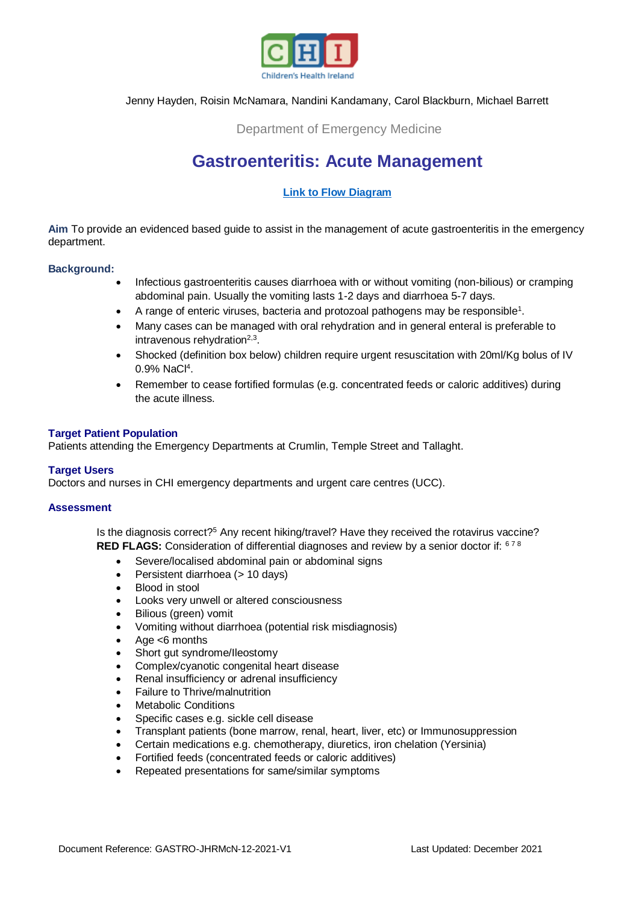

## Jenny Hayden, Roisin McNamara, Nandini Kandamany, Carol Blackburn, Michael Barrett

## Department of Emergency Medicine

# **Gastroenteritis: Acute Management**

## **[Link to Flow Diagram](https://www.olchc.ie/healthcare-professionals/clinical-guidelines/clinical-guidelines-hyperlink-files/gastroenteritis-revised-flow-diagram.pdf)**

**Aim** To provide an evidenced based guide to assist in the management of acute gastroenteritis in the emergency department.

#### **Background:**

- Infectious gastroenteritis causes diarrhoea with or without vomiting (non-bilious) or cramping abdominal pain. Usually the vomiting lasts 1-2 days and diarrhoea 5-7 days.
- A range of enteric viruses, bacteria and protozoal pathogens may be responsible<sup>1</sup>.
- Many cases can be managed with oral rehydration and in general enteral is preferable to intravenous rehydration<sup>2,3</sup>.
- Shocked (definition box below) children require urgent resuscitation with 20ml/Kg bolus of IV 0.9% NaCl<sup>4</sup>.
- Remember to cease fortified formulas (e.g. concentrated feeds or caloric additives) during the acute illness.

#### **Target Patient Population**

Patients attending the Emergency Departments at Crumlin, Temple Street and Tallaght.

#### **Target Users**

Doctors and nurses in CHI emergency departments and urgent care centres (UCC).

#### **Assessment**

Is the diagnosis correct?<sup>5</sup> Any recent hiking/travel? Have they received the rotavirus vaccine? **RED FLAGS:** Consideration of differential diagnoses and review by a senior doctor if: 678

- Severe/localised abdominal pain or abdominal signs
- Persistent diarrhoea (> 10 days)
- Blood in stool
- Looks very unwell or altered consciousness
- Bilious (green) vomit
- Vomiting without diarrhoea (potential risk misdiagnosis)
- Age <6 months
- Short gut syndrome/Ileostomy
- Complex/cyanotic congenital heart disease
- Renal insufficiency or adrenal insufficiency
- Failure to Thrive/malnutrition
- Metabolic Conditions
- Specific cases e.g. sickle cell disease
- Transplant patients (bone marrow, renal, heart, liver, etc) or Immunosuppression
- Certain medications e.g. chemotherapy, diuretics, iron chelation (Yersinia)
- Fortified feeds (concentrated feeds or caloric additives)
- Repeated presentations for same/similar symptoms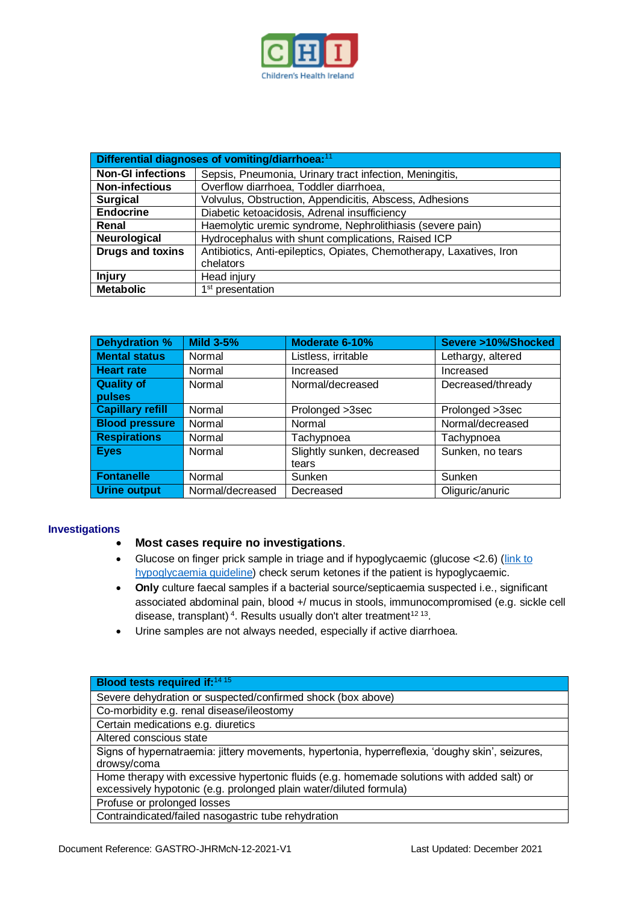

| Differential diagnoses of vomiting/diarrhoea: <sup>11</sup> |                                                                      |  |  |  |
|-------------------------------------------------------------|----------------------------------------------------------------------|--|--|--|
| <b>Non-GI infections</b>                                    | Sepsis, Pneumonia, Urinary tract infection, Meningitis,              |  |  |  |
| <b>Non-infectious</b>                                       | Overflow diarrhoea, Toddler diarrhoea,                               |  |  |  |
| <b>Surgical</b>                                             | Volvulus, Obstruction, Appendicitis, Abscess, Adhesions              |  |  |  |
| <b>Endocrine</b>                                            | Diabetic ketoacidosis, Adrenal insufficiency                         |  |  |  |
| Renal                                                       | Haemolytic uremic syndrome, Nephrolithiasis (severe pain)            |  |  |  |
| Neurological                                                | Hydrocephalus with shunt complications, Raised ICP                   |  |  |  |
| <b>Drugs and toxins</b>                                     | Antibiotics, Anti-epileptics, Opiates, Chemotherapy, Laxatives, Iron |  |  |  |
|                                                             | chelators                                                            |  |  |  |
| <b>Injury</b>                                               | Head injury                                                          |  |  |  |
| <b>Metabolic</b>                                            | 1 <sup>st</sup> presentation                                         |  |  |  |

| Dehydration %           | <b>Mild 3-5%</b> | Moderate 6-10%             | Severe >10%/Shocked |  |
|-------------------------|------------------|----------------------------|---------------------|--|
| <b>Mental status</b>    | Normal           | Listless, irritable        | Lethargy, altered   |  |
| <b>Heart rate</b>       | Normal           | Increased                  | Increased           |  |
| <b>Quality of</b>       | Normal           | Normal/decreased           | Decreased/thready   |  |
| pulses                  |                  |                            |                     |  |
| <b>Capillary refill</b> | Normal           | Prolonged >3sec            | Prolonged >3sec     |  |
| <b>Blood pressure</b>   | Normal           | Normal                     | Normal/decreased    |  |
| <b>Respirations</b>     | Normal           | Tachypnoea                 | Tachypnoea          |  |
| <b>Eyes</b>             | Normal           | Slightly sunken, decreased | Sunken, no tears    |  |
|                         |                  | tears                      |                     |  |
| <b>Fontanelle</b>       | Normal           | Sunken                     | Sunken              |  |
| Urine output            | Normal/decreased | Decreased                  | Oliguric/anuric     |  |

## **Investigations**

## **Most cases require no investigations**.

- Glucose on finger prick sample in triage and if hypoglycaemic (glucose < 2.6) (link to [hypoglycaemia guideline\)](https://www.olchc.ie/healthcare-professionals/clinical-guidelines/diabetes-hypoglycaemia.pdf) check serum ketones if the patient is hypoglycaemic.
- **Only** culture faecal samples if a bacterial source/septicaemia suspected i.e., significant associated abdominal pain, blood +/ mucus in stools, immunocompromised (e.g. sickle cell disease, transplant)<sup>4</sup>. Results usually don't alter treatment<sup>12 13</sup>.
- Urine samples are not always needed, especially if active diarrhoea.

| Blood tests required if: <sup>14 15</sup>                                                       |
|-------------------------------------------------------------------------------------------------|
| Severe dehydration or suspected/confirmed shock (box above)                                     |
| Co-morbidity e.g. renal disease/ileostomy                                                       |
| Certain medications e.g. diuretics                                                              |
| Altered conscious state                                                                         |
| Signs of hypernatraemia: jittery movements, hypertonia, hyperreflexia, 'doughy skin', seizures, |
| drowsy/coma                                                                                     |
| Home therapy with excessive hypertonic fluids (e.g. homemade solutions with added salt) or      |
| excessively hypotonic (e.g. prolonged plain water/diluted formula)                              |
| Profuse or prolonged losses                                                                     |
| Contraindicated/failed nasogastric tube rehydration                                             |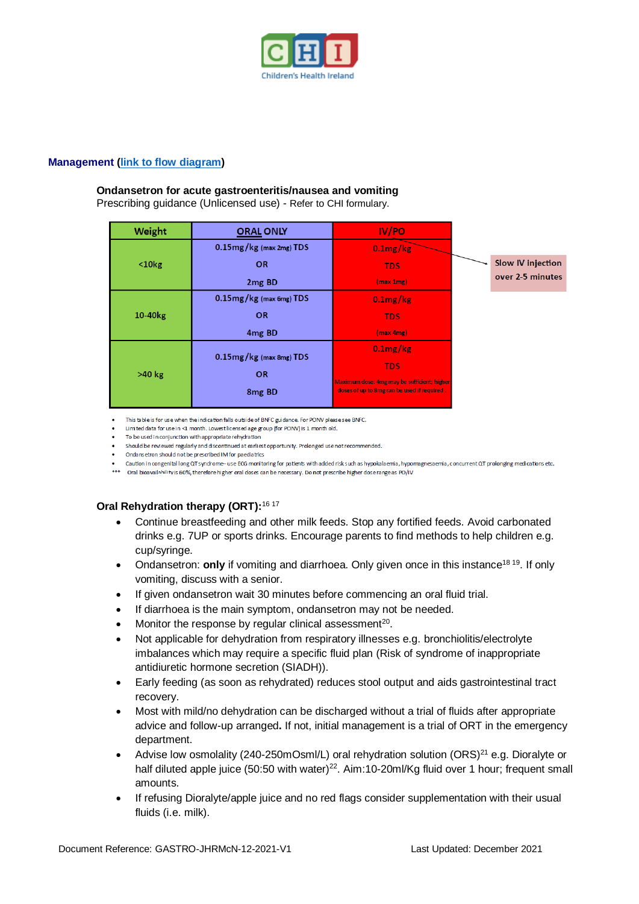

#### **Management [\(link to flow diagram\)](https://www.olchc.ie/healthcare-professionals/clinical-guidelines/clinical-guidelines-hyperlink-files/gastroenteritis-revised-flow-diagram.pdf)**

#### **Ondansetron for acute gastroenteritis/nausea and vomiting**

Prescribing guidance (Unlicensed use) - Refer to CHI formulary.

| Weight              | <b>ORAL ONLY</b>                           | IV/PO                                                                                      |                          |
|---------------------|--------------------------------------------|--------------------------------------------------------------------------------------------|--------------------------|
| $10kg$              | $0.15$ mg/kg (max 2mg) TDS                 | $0.1$ mg/kg                                                                                |                          |
|                     | <b>OR</b>                                  | <b>TDS</b>                                                                                 | <b>Slow IV injection</b> |
|                     | 2 <sub>mg</sub> BD                         | (max 1mg)                                                                                  | over 2-5 minutes         |
| 10-40 <sub>kg</sub> | $0.15$ mg/kg (max 6mg) TDS                 | $0.1$ mg/ $kg$                                                                             |                          |
|                     | <b>OR</b>                                  | <b>TDS</b>                                                                                 |                          |
|                     | 4 <sub>mg</sub> B <sub>D</sub>             | (max 4mg)                                                                                  |                          |
| >40 kg              | $0.15$ mg/ $kg$ (max 8mg) TDS<br><b>OR</b> | $0.1$ mg/kg                                                                                |                          |
|                     |                                            | <b>TDS</b>                                                                                 |                          |
|                     | 8 <sub>mg</sub> BD                         | Maximum dose: 4mg may be sufficient; higher<br>doses of up to 8mg can be used if required. |                          |

This table is for use when the indication falls outside of BNFC guidance. For PONV please see BNFC.

- Limited data for use in <1 month. Lowest licensed age group (for PONV) is 1 month old.
- To be used in conjunction with appropriate rehydration
- Should be reviewed regularly and discontinued at earliest opportunity. Prolonged use not recommended.
- Ondansetron should not be prescribed IM for paediatrics
- Caution in congenital long QT syndrome-use ECG monitoring for patients with added risk such as hypokalaemia, hypomagnesaemia, concurrent QT prolonging medications etc.
- \*\*\* Oral bioavailahility is 60%, therefore higher oral doses can be necessary. Do not prescribe higher dose range as PO/IV

## **Oral Rehydration therapy (ORT):**16 17

- Continue breastfeeding and other milk feeds. Stop any fortified feeds. Avoid carbonated drinks e.g. 7UP or sports drinks. Encourage parents to find methods to help children e.g. cup/syringe.
- Ondansetron: **only** if vomiting and diarrhoea. Only given once in this instance<sup>18 19</sup>. If only vomiting, discuss with a senior.
- If given ondansetron wait 30 minutes before commencing an oral fluid trial.
- If diarrhoea is the main symptom, ondansetron may not be needed.
- $\bullet$  Monitor the response by regular clinical assessment<sup>20</sup>.
- Not applicable for dehydration from respiratory illnesses e.g. bronchiolitis/electrolyte imbalances which may require a specific fluid plan (Risk of syndrome of inappropriate antidiuretic hormone secretion (SIADH)).
- Early feeding (as soon as rehydrated) reduces stool output and aids gastrointestinal tract recovery.
- Most with mild/no dehydration can be discharged without a trial of fluids after appropriate advice and follow-up arranged**.** If not, initial management is a trial of ORT in the emergency department.
- Advise low osmolality (240-250mOsml/L) oral rehydration solution (ORS)<sup>21</sup> e.g. Dioralyte or half diluted apple juice (50:50 with water)<sup>22</sup>. Aim:10-20ml/Kg fluid over 1 hour; frequent small amounts.
- If refusing Dioralyte/apple juice and no red flags consider supplementation with their usual fluids (i.e. milk).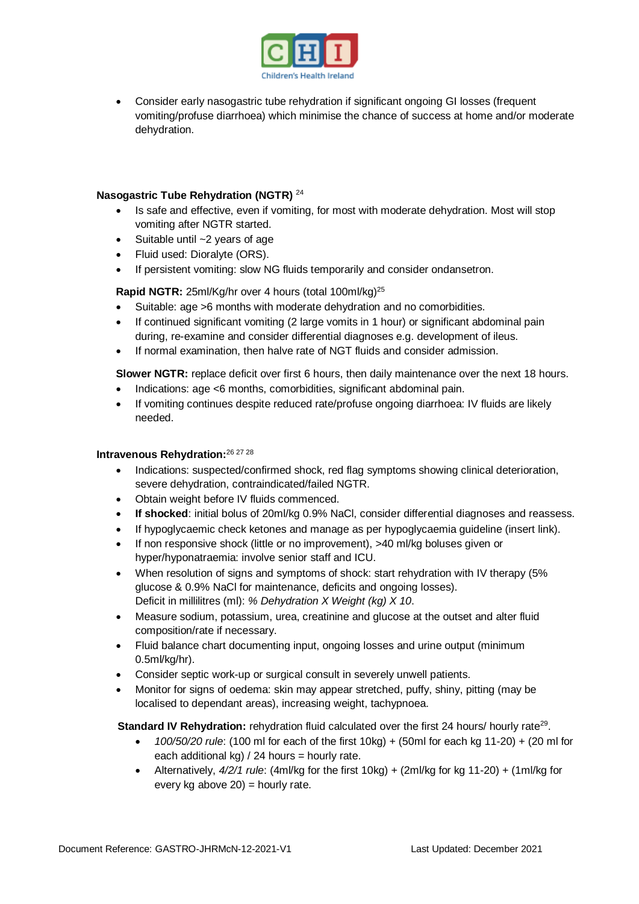

 Consider early nasogastric tube rehydration if significant ongoing GI losses (frequent vomiting/profuse diarrhoea) which minimise the chance of success at home and/or moderate dehydration.

## **Nasogastric Tube Rehydration (NGTR)** <sup>24</sup>

- Is safe and effective, even if vomiting, for most with moderate dehydration. Most will stop vomiting after NGTR started.
- $\bullet$  Suitable until  $\sim$ 2 years of age
- Fluid used: Dioralyte (ORS).
- If persistent vomiting: slow NG fluids temporarily and consider ondansetron.

## Rapid NGTR: 25ml/Kg/hr over 4 hours (total 100ml/kg)<sup>25</sup>

- Suitable: age >6 months with moderate dehydration and no comorbidities.
- If continued significant vomiting (2 large vomits in 1 hour) or significant abdominal pain during, re-examine and consider differential diagnoses e.g. development of ileus.
- If normal examination, then halve rate of NGT fluids and consider admission.

**Slower NGTR:** replace deficit over first 6 hours, then daily maintenance over the next 18 hours.

- Indications: age <6 months, comorbidities, significant abdominal pain.
- If vomiting continues despite reduced rate/profuse ongoing diarrhoea: IV fluids are likely needed.

## **Intravenous Rehydration:**26 27 28

- Indications: suspected/confirmed shock, red flag symptoms showing clinical deterioration, severe dehydration, contraindicated/failed NGTR.
- Obtain weight before IV fluids commenced.
- **If shocked**: initial bolus of 20ml/kg 0.9% NaCl, consider differential diagnoses and reassess.
- If hypoglycaemic check ketones and manage as per hypoglycaemia guideline (insert link).
- If non responsive shock (little or no improvement), >40 ml/kg boluses given or hyper/hyponatraemia: involve senior staff and ICU.
- When resolution of signs and symptoms of shock: start rehydration with IV therapy (5% glucose & 0.9% NaCl for maintenance, deficits and ongoing losses). Deficit in millilitres (ml): *% Dehydration X Weight (kg) X 10*.
- Measure sodium, potassium, urea, creatinine and glucose at the outset and alter fluid composition/rate if necessary.
- Fluid balance chart documenting input, ongoing losses and urine output (minimum 0.5ml/kg/hr).
- Consider septic work-up or surgical consult in severely unwell patients.
- Monitor for signs of oedema: skin may appear stretched, puffy, shiny, pitting (may be localised to dependant areas), increasing weight, tachypnoea.

**Standard IV Rehydration:** rehydration fluid calculated over the first 24 hours/ hourly rate<sup>29</sup>.

- *100/50/20 rule*: (100 ml for each of the first 10kg) + (50ml for each kg 11-20) + (20 ml for each additional kg)  $/$  24 hours = hourly rate.
- Alternatively, *4/2/1 rule*: (4ml/kg for the first 10kg) + (2ml/kg for kg 11-20) + (1ml/kg for every kg above  $20$ ) = hourly rate.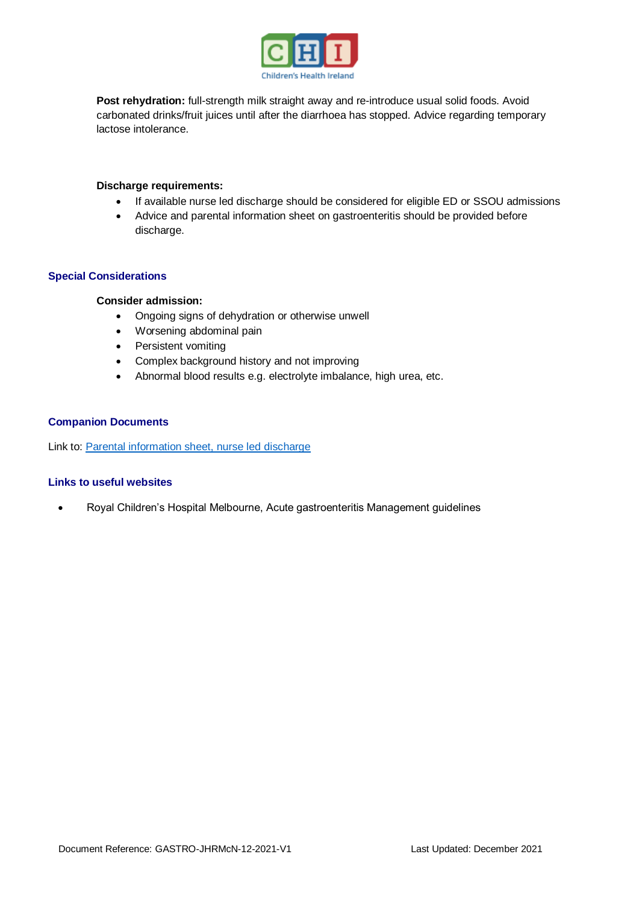

**Post rehydration:** full-strength milk straight away and re-introduce usual solid foods. Avoid carbonated drinks/fruit juices until after the diarrhoea has stopped. Advice regarding temporary lactose intolerance.

#### **Discharge requirements:**

- If available nurse led discharge should be considered for eligible ED or SSOU admissions
- Advice and parental information sheet on gastroenteritis should be provided before discharge.

#### **Special Considerations**

#### **Consider admission:**

- Ongoing signs of dehydration or otherwise unwell
- Worsening abdominal pain
- Persistent vomiting
- Complex background history and not improving
- Abnormal blood results e.g. electrolyte imbalance, high urea, etc.

#### **Companion Documents**

Link to: [Parental information sheet, nurse led discharge](https://www.olchc.ie/healthcare-professionals/clinical-guidelines/clinical-guidelines-hyperlink-files/pil-gastroenteritis.pdf)

#### **Links to useful websites**

Royal Children's Hospital Melbourne, Acute gastroenteritis Management guidelines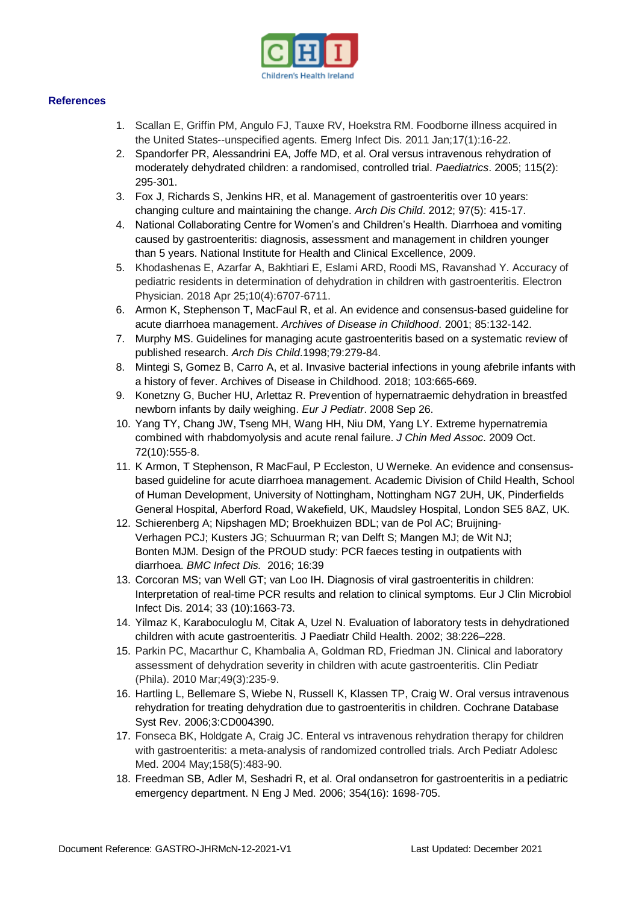

#### **References**

- 1. Scallan E, Griffin PM, Angulo FJ, Tauxe RV, Hoekstra RM. Foodborne illness acquired in the United States--unspecified agents. Emerg Infect Dis. 2011 Jan;17(1):16-22.
- 2. Spandorfer PR, Alessandrini EA, Joffe MD, et al. Oral versus intravenous rehydration of moderately dehydrated children: a randomised, controlled trial. *Paediatrics*. 2005; 115(2): 295-301.
- 3. Fox J, Richards S, Jenkins HR, et al. Management of gastroenteritis over 10 years: changing culture and maintaining the change. *Arch Dis Child*. 2012; 97(5): 415-17.
- 4. National Collaborating Centre for Women's and Children's Health. Diarrhoea and vomiting caused by gastroenteritis: diagnosis, assessment and management in children younger than 5 years. National Institute for Health and Clinical Excellence, 2009.
- 5. Khodashenas E, Azarfar A, Bakhtiari E, Eslami ARD, Roodi MS, Ravanshad Y. Accuracy of pediatric residents in determination of dehydration in children with gastroenteritis. Electron Physician. 2018 Apr 25;10(4):6707-6711.
- 6. Armon K, Stephenson T, MacFaul R, et al. An evidence and consensus-based guideline for acute diarrhoea management. *Archives of Disease in Childhood*. 2001; 85:132-142.
- 7. Murphy MS. Guidelines for managing acute gastroenteritis based on a systematic review of published research. *Arch Dis Child*.1998;79:279-84.
- 8. Mintegi S, Gomez B, Carro A, et al. Invasive bacterial infections in young afebrile infants with a history of fever. Archives of Disease in Childhood. 2018; 103:665-669.
- 9. Konetzny G, Bucher HU, Arlettaz R. Prevention of hypernatraemic dehydration in breastfed newborn infants by daily weighing. *Eur J Pediatr*. 2008 Sep 26.
- 10. Yang TY, Chang JW, Tseng MH, Wang HH, Niu DM, Yang LY. Extreme hypernatremia combined with rhabdomyolysis and acute renal failure. *J Chin Med Assoc*. 2009 Oct. 72(10):555-8.
- 11. K Armon, T Stephenson, R MacFaul, P Eccleston, U Werneke. An evidence and consensusbased guideline for acute diarrhoea management. Academic Division of Child Health, School of Human Development, University of Nottingham, Nottingham NG7 2UH, UK, Pinderfields General Hospital, Aberford Road, Wakefield, UK, Maudsley Hospital, London SE5 8AZ, UK.
- 12. Schierenberg A; Nipshagen MD; Broekhuizen BDL; van de Pol AC; Bruijning-Verhagen PCJ; Kusters JG; Schuurman R; van Delft S; Mangen MJ; de Wit NJ; Bonten MJM. Design of the PROUD study: PCR faeces testing in outpatients with diarrhoea. *[BMC Infect Dis.](https://reference.medscape.com/viewpublication/)* 2016; 16:39
- 13. Corcoran MS; van Well GT; van Loo IH. Diagnosis of viral gastroenteritis in children: Interpretation of real-time PCR results and relation to clinical symptoms. Eur J Clin Microbiol Infect Dis. 2014; 33 (10):1663-73.
- 14. Yilmaz K, Karaboculoglu M, Citak A, Uzel N. Evaluation of laboratory tests in dehydrationed children with acute gastroenteritis. J Paediatr Child Health. 2002; 38:226–228.
- 15. Parkin PC, Macarthur C, Khambalia A, Goldman RD, Friedman JN. Clinical and laboratory assessment of dehydration severity in children with acute gastroenteritis. Clin Pediatr (Phila). 2010 Mar;49(3):235-9.
- 16. Hartling L, Bellemare S, Wiebe N, Russell K, Klassen TP, Craig W. Oral versus intravenous rehydration for treating dehydration due to gastroenteritis in children. Cochrane Database Syst Rev. 2006;3:CD004390.
- 17. Fonseca BK, Holdgate A, Craig JC. Enteral vs intravenous rehydration therapy for children with gastroenteritis: a meta-analysis of randomized controlled trials. Arch Pediatr Adolesc Med. 2004 May;158(5):483-90.
- 18. Freedman SB, Adler M, Seshadri R, et al. Oral ondansetron for gastroenteritis in a pediatric emergency department. N Eng J Med. 2006; 354(16): 1698-705.